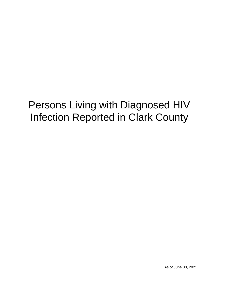# Persons Living with Diagnosed HIV Infection Reported in Clark County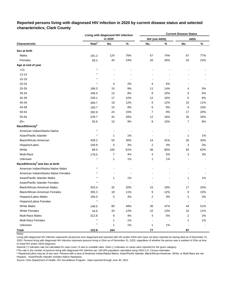#### **Reported persons living with diagnosed HIV infection in 2020 by current disease status and selected characteristics, Clark County**

|                                              |                   | Living with diagnosed HIV infection |       | <b>Current Disease Status</b> |                          |                |       |  |  |  |
|----------------------------------------------|-------------------|-------------------------------------|-------|-------------------------------|--------------------------|----------------|-------|--|--|--|
|                                              |                   | in 2020                             |       | <b>HIV (not AIDS)</b>         |                          | <b>AIDS</b>    |       |  |  |  |
| Characteristic                               | Rate <sup>a</sup> | No.                                 | $\%$  | No.                           | %                        | No.            | $\%$  |  |  |  |
| Sex at birth                                 |                   |                                     |       |                               |                          |                |       |  |  |  |
| Males                                        | 191.2             | 124                                 | 76%   | 57                            | 74%                      | 67             | 77%   |  |  |  |
| Females                                      | 58.2              | 40                                  | 24%   | 20                            | 26%                      | 20             | 23%   |  |  |  |
| Age at end of year                           |                   |                                     |       |                               |                          |                |       |  |  |  |
| <13                                          | $\star$           |                                     |       |                               |                          |                |       |  |  |  |
| $13 - 14$                                    |                   |                                     |       |                               |                          |                |       |  |  |  |
| 15-19                                        |                   |                                     |       |                               |                          |                |       |  |  |  |
| 20-24                                        | $\star$           | 4                                   | 2%    | 4                             | 5%                       |                |       |  |  |  |
| 25-29                                        | 186.3             | 15                                  | 9%    | 11                            | 14%                      | 4              | 5%    |  |  |  |
| 30-34                                        | 166.4             | 13                                  | 8%    | 8                             | 10%                      | 5              | 6%    |  |  |  |
| 35-39                                        | 228.1             | 17                                  | 10%   | 12                            | 16%                      | 5              | $6\%$ |  |  |  |
| 40-44                                        | 260.7             | 19                                  | 12%   | 9                             | 12%                      | 10             | 11%   |  |  |  |
| 45-49                                        | 193.7             | 15                                  | 9%    | 6                             | 8%                       | 9              | 10%   |  |  |  |
| 50-54                                        | 282.8             | 24                                  | 15%   | 7                             | 9%                       | 17             | 20%   |  |  |  |
| 55-64                                        | 228.7             | 42                                  | 26%   | 12                            | 16%                      | 30             | 34%   |  |  |  |
| $65+$                                        | 55.6              | 15                                  | 9%    | 8                             | 10%                      | 7              | 8%    |  |  |  |
| Race/Ethnicity <sup>b</sup>                  |                   |                                     |       |                               |                          |                |       |  |  |  |
| American Indian/Alaska Native                | $\star$           |                                     |       |                               |                          |                |       |  |  |  |
| Asian/Pacific Islander                       | $\star$           | 1                                   | 1%    | $\overline{\phantom{a}}$      | $\overline{\phantom{a}}$ | $\mathbf{1}$   | 1%    |  |  |  |
| Black/African-American                       | 428.2             | 50                                  | 30%   | 24                            | 31%                      | 26             | 30%   |  |  |  |
| Hispanic/Latinx                              | 100.8             | 5                                   | 3%    | $\overline{c}$                | 3%                       | 3              | 3%    |  |  |  |
| White                                        | 89.5              | 100                                 | 61%   | 46                            | 60%                      | 54             | 62%   |  |  |  |
| Multi-Race                                   | 179.5             | $\overline{7}$                      | 4%    | 4                             | 5%                       | 3              | 3%    |  |  |  |
| Unknown                                      | $\star$           | 1                                   | 1%    | 1                             | 1%                       |                |       |  |  |  |
| Race/Ethnicity <sup>b</sup> and Sex at birth |                   |                                     |       |                               |                          |                |       |  |  |  |
| American Indian/Alaska Native Males          | $\star$           |                                     |       |                               |                          |                |       |  |  |  |
| American Indian/Alaska Native Females        |                   |                                     |       |                               |                          |                |       |  |  |  |
| Asian/Pacific Islander Males                 |                   | 1                                   | 1%    |                               |                          | 1              | 1%    |  |  |  |
| Asian/Pacific Islander Females               |                   |                                     |       |                               |                          |                |       |  |  |  |
| <b>Black/African-American Males</b>          | 553.4             | 32                                  | 20%   | 15                            | 19%                      | 17             | 20%   |  |  |  |
| Black/African-American Females               | 305.3             | 18                                  | 11%   | 9                             | 12%                      | 9              | 10%   |  |  |  |
| Hispanic/Latino Males                        | 184.0             | 5                                   | 3%    | 2                             | 3%                       | 3              | 3%    |  |  |  |
| Hispanic/Latina Females                      | $\star$           | $\blacksquare$                      |       | $\ddot{\phantom{0}}$          | $\ddot{\phantom{0}}$     | $\blacksquare$ |       |  |  |  |
| <b>White Males</b>                           | 148.5             | 80                                  | 49%   | 36                            | 47%                      | 44             | 51%   |  |  |  |
| <b>White Females</b>                         | 34.6              | 20                                  | 12%   | 10                            | 13%                      | 10             | 11%   |  |  |  |
| Multi-Race Males                             | 312.8             | 6                                   | 4%    | 4                             | 5%                       | 2              | 2%    |  |  |  |
| <b>Multi-Race Females</b>                    | $\star$           | 1                                   | 1%    |                               |                          | $\mathbf{1}$   | 1%    |  |  |  |
| Unknown                                      | $\star$           | 1                                   | $1\%$ | 1                             | $1\%$                    |                |       |  |  |  |
| Total                                        | 122.8             | 164                                 |       | 77                            |                          | 87             |       |  |  |  |

Notes:

Living with diagnosed HIV infection represents all persons ever diagnosed and reported with HIV and/or AIDS who have not been reported as having died as of December 31, 2020. Persons living with diagnosed HIV infection represent persons living in Ohio as of December 31, 2020, regardless of whether the person was a resident of Ohio at time of initial HIV and/or AIDS diagnosis.

Asterisk (\*) indicates rate not calculated for case count <5 due to unstable rates. Dash (-) indicates no cases were reported for the given category.

a The rate is the number of persons living with diagnosed HIV infection per 100,000 population calculated using 2020 U.S. Census estimates.

ᵇ Hispanics/Latinx may be of any race. Persons with a race of American Indian/Alaska Native, Asian/Pacific Islander, Black/African-American, White, or Multi-Race are not-Hispanic. Asian/Pacific Islander includes Native Hawaiians.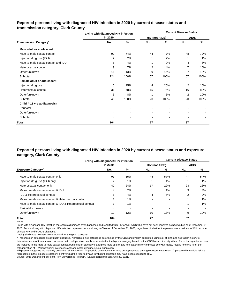## **Reported persons living with diagnosed HIV infection in 2020 by current disease status and transmission category, Clark County**

|                                          | Living with diagnosed HIV infection |                | <b>Current Disease Status</b> |                |             |      |  |  |  |  |
|------------------------------------------|-------------------------------------|----------------|-------------------------------|----------------|-------------|------|--|--|--|--|
|                                          | in 2020                             |                | HIV (not AIDS)                |                | <b>AIDS</b> |      |  |  |  |  |
| <b>Transmission Category<sup>a</sup></b> | No.                                 | %              | No.                           | %              | No.         | %    |  |  |  |  |
| Male adult or adolescent                 |                                     |                |                               |                |             |      |  |  |  |  |
| Male-to-male sexual contact              | 92                                  | 74%            | 44                            | 77%            | 48          | 72%  |  |  |  |  |
| Injection drug use (IDU)                 | 2                                   | 2%             | 1                             | 2%             | 1           | 1%   |  |  |  |  |
| Male-to-male sexual contact and IDU      | 5                                   | 4%             | 1                             | 2%             | 4           | 6%   |  |  |  |  |
| Heterosexual contact                     | 9                                   | 7%             | 2                             | 4%             | 7           | 10%  |  |  |  |  |
| Other/unknown                            | 16                                  | 13%            | 9                             | 16%            | 7           | 10%  |  |  |  |  |
| Subtotal                                 | 124                                 | 100%           | 57                            | 100%           | 67          | 100% |  |  |  |  |
| Female adult or adolescent               |                                     |                |                               |                |             |      |  |  |  |  |
| Injection drug use                       | 6                                   | 15%            | 4                             | 20%            | 2           | 10%  |  |  |  |  |
| Heterosexual contact                     | 31                                  | 78%            | 15                            | 75%            | 16          | 80%  |  |  |  |  |
| Other/unknown                            | 3                                   | 8%             | 1                             | 5%             | 2           | 10%  |  |  |  |  |
| Subtotal                                 | 40                                  | 100%           | 20                            | 100%           | 20          | 100% |  |  |  |  |
| Child (<13 yrs at diagnosis)             |                                     |                |                               |                |             |      |  |  |  |  |
| Perinatal                                |                                     |                |                               |                |             |      |  |  |  |  |
| Other/unknown                            |                                     | $\blacksquare$ | ٠                             | $\blacksquare$ |             |      |  |  |  |  |
| Subtotal                                 |                                     |                |                               | $\blacksquare$ |             |      |  |  |  |  |
| Total                                    | 164                                 |                | 77                            |                | 87          |      |  |  |  |  |

## **Reported persons living with diagnosed HIV infection in 2020 by current disease status and exposure category, Clark County**

|                                                          | Living with diagnosed HIV infection |          | <b>Current Disease Status</b> |     |             |     |  |  |  |  |
|----------------------------------------------------------|-------------------------------------|----------|-------------------------------|-----|-------------|-----|--|--|--|--|
|                                                          | in 2020                             |          | <b>HIV (not AIDS)</b>         |     | <b>AIDS</b> |     |  |  |  |  |
| <b>Exposure Category</b> <sup>b</sup>                    | No.                                 | %        | No.                           | %   | No.         | %   |  |  |  |  |
| Male-to-male sexual contact only                         | 91                                  | 55%      | 44                            | 57% | 47          | 54% |  |  |  |  |
| Injection drug use (IDU) only                            | 2                                   | $1\%$    |                               | 1%  |             | 1%  |  |  |  |  |
| Heterosexual contact only                                | 40                                  | 24%      | 17                            | 22% | 23          | 26% |  |  |  |  |
| Male-to-male sexual contact & IDU                        | 4                                   | 2%       |                               | 1%  | 3           | 3%  |  |  |  |  |
| IDU & Heterosexual contact                               | 6                                   | 4%       | 4                             | 5%  | 2           | 2%  |  |  |  |  |
| Male-to-male sexual contact & Heterosexual contact       |                                     | $1\%$    |                               |     |             | 1%  |  |  |  |  |
| Male-to-male sexual contact & IDU & Heterosexual contact |                                     | 1%       |                               |     |             | 1%  |  |  |  |  |
| Perinatal exposure                                       |                                     | <b>.</b> |                               |     |             |     |  |  |  |  |
| Other/unknown                                            | 19                                  | 12%      | 10                            | 13% | 9           | 10% |  |  |  |  |
| <b>Total</b>                                             | 164                                 |          | 77                            |     | 87          |     |  |  |  |  |

Notes:

Living with diagnosed HIV infection represents all persons ever diagnosed and reported with HIV and/or AIDS who have not been reported as having died as of December 31, 2020. Persons living with diagnosed HIV infection represent persons living in Ohio as of December 31, 2020, regardless of whether the person was a resident of Ohio at time of initial HIV and/or AIDS diagnosis.

Dash (-) indicates no cases were reported for the given category.

a Transmission categories are mutually exclusive, hierarchical risk categories determined by the CDC and system-calculated using sex at birth and risk factor history to determine mode of transmission. A person with multiple risks is only represented in the highest category based on the CDC hierarchical algorithm. Thus, transgender women are included in the male-to-male sexual contact transmission category if assigned male at birth and risk factor history indicates sex with males. Please note this is for the categorization of HIV transmission categories only and not to describe sexual orientation.

**b** Exposure categories are mutually exclusive risk categories. All possible combinations of risks are represented among exposure categories. A person with multiple risks is represented in the exposure category identifying all the reported ways in which that person may have been exposed to HIV.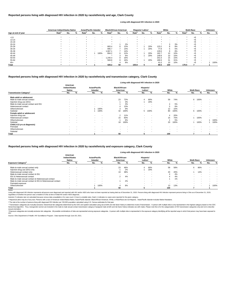|                    |                   | American Indian/Alaska Native |                          | <b>Asian/Pacific Islander</b> |                          | <b>Black/African-American</b> |                   | Hispanic/ Latinx <sup>a</sup> |     | White             |     |        | <b>Multi-Race</b> |     |     | <b>Unknown</b>    |       |   |     |      |
|--------------------|-------------------|-------------------------------|--------------------------|-------------------------------|--------------------------|-------------------------------|-------------------|-------------------------------|-----|-------------------|-----|--------|-------------------|-----|-----|-------------------|-------|---|-----|------|
| Age at end of year | Rate <sup>b</sup> | No.                           | %                        | Rate <sup>r</sup>             | No.                      | %                             | Rate <sup>r</sup> | No.                           | %   | Rate <sup>p</sup> | No. | %      | Rate <sup>p</sup> | No. | %   | Rate <sup>p</sup> | No.   | % | No. | %    |
| < 13               |                   |                               |                          |                               |                          |                               |                   |                               |     |                   |     |        |                   |     |     |                   | <5    |   |     |      |
| $13 - 14$          |                   |                               |                          |                               |                          |                               |                   |                               |     |                   |     |        |                   | . . |     |                   | <5    |   |     |      |
| $15 - 19$          |                   |                               |                          |                               |                          | $\sim$                        |                   |                               |     |                   |     |        | $\star$           |     |     |                   | <5    |   |     |      |
| $20 - 24$          |                   |                               |                          |                               |                          |                               |                   |                               | 2%  |                   |     |        |                   | - 3 | 3%  |                   | $5$   |   |     |      |
| 25-29              |                   | $\overline{\phantom{0}}$      |                          |                               | $\overline{\phantom{a}}$ | $\sim$                        | 683.4             | 6                             | 12% |                   |     | 20%    | 123.2             | 8   | 8%  |                   | <5    |   |     |      |
| 30-34              |                   |                               |                          |                               |                          | $\overline{\phantom{a}}$      | 995.7             |                               | 14% | $\ast$            |     | 20%    | 77.8              |     | 5%  |                   | $<$ 5 |   |     |      |
| 35-39              |                   |                               | $\overline{\phantom{0}}$ |                               | $\sim$                   | $\sim$                        | 1,067.1           |                               | 14% | $\star$           |     | . .    | 129.6             | 8   | 8%  |                   | <5    |   |     |      |
| 40-44              |                   |                               |                          |                               |                          | 100%                          | 894.2             | 6                             | 12% |                   |     | 20%    | 162.7             | 10  | 10% |                   | <5    |   |     |      |
| 45-49              |                   |                               |                          |                               | $\overline{\phantom{a}}$ | $\sim$                        |                   |                               | 6%  | $\star$           |     | 20%    | 149.8             | 10  | 10% |                   | <5    |   |     |      |
| 50-54              |                   | $\overline{\phantom{0}}$      |                          |                               | $\overline{\phantom{a}}$ | $\sim$                        | 1,240.3           | 8                             | 16% | $\ast$            |     | -      | 201.6             | 15  | 15% |                   | <5    |   |     |      |
| 55-64              |                   |                               |                          |                               | $\sim$                   | $\sim$                        | 569.8             |                               | 16% | $\star$           |     | 20%    | 189.9             | 31  | 31% |                   | <5    |   |     |      |
| $65+$              |                   |                               |                          |                               |                          |                               |                   |                               | 8%  |                   |     | $\sim$ | 41.0              | 10  | 10% |                   | < 5   |   |     | 100% |
| Total              |                   | $\overline{\phantom{0}}$      |                          |                               |                          |                               | 428.2             | 50                            |     | 100.8             |     |        | 89.5              | 100 |     | 179.5             |       |   |     |      |

© Transmission categories are mutually exclusive, hierarchical risk categories determined by the CDC and system-calculated using sex at birth and risk factor history to determine mode of transmission. A person with multip hierarchical algorithm. Thus, transgender women are included in the male-to-male sexual contact transmission category if assigned male at birth and risk factor history indicates sex with males. Please note this is for the sexual orientation.

<sup>d</sup> Exposure categories are mutually exclusive risk categories. All possible combinations of risks are represented among exposure categories. A person with multiple risks is represented in the exposure category identifying

|                                          |                                            |                          |                                         |        |                                   |        |                                  | Living with diagnosed HIV infection in 2020 |                          |                          |                   |      |                |                          |
|------------------------------------------|--------------------------------------------|--------------------------|-----------------------------------------|--------|-----------------------------------|--------|----------------------------------|---------------------------------------------|--------------------------|--------------------------|-------------------|------|----------------|--------------------------|
|                                          | American<br>Indian/Alaska<br><b>Native</b> |                          | <b>Asian/Pacific</b><br><b>Islander</b> |        | <b>Black/African-</b><br>American |        | Hispanic/<br>Latinx <sup>a</sup> |                                             | White                    |                          | <b>Multi-Race</b> |      | <b>Unknown</b> |                          |
| <b>Transmission Category<sup>c</sup></b> | No.                                        | %                        | No.                                     | %      | No.                               | %      | No.                              | %                                           | No.                      | %                        | No.               | %    | No.            | %                        |
| Male adult or adolescent                 |                                            |                          |                                         |        |                                   |        |                                  |                                             |                          |                          |                   |      |                |                          |
| Male-to-male sexual contact              | $\blacksquare$                             | $\overline{\phantom{a}}$ | $\sim$                                  | $\sim$ | 23                                | 72%    |                                  | 80%                                         | 59                       | 74%                      | 6                 | 100% |                | $\overline{\phantom{a}}$ |
| Injection drug use (IDU)                 | $\blacksquare$                             | $\overline{\phantom{a}}$ | $\sim$                                  | $\sim$ |                                   | 3%     |                                  | 20%                                         | $\sim$                   | $\overline{\phantom{a}}$ |                   |      |                | $\overline{\phantom{a}}$ |
| Male-to-male sexual contact and IDU      |                                            |                          |                                         |        |                                   | 3%     |                                  | $\overline{\phantom{a}}$                    | 4                        | 5%                       |                   |      |                |                          |
| Heterosexual contact                     | $\blacksquare$                             |                          | $\,$ $\,$                               | $\sim$ |                                   | 13%    |                                  | $\overline{\phantom{a}}$                    | 5                        | 6%                       |                   |      |                | $\overline{\phantom{a}}$ |
| Other/unknown                            | $\blacksquare$                             |                          |                                         | 100%   |                                   | 9%     |                                  |                                             | 12                       | 15%                      |                   |      |                | $\sim$                   |
| Subtotal                                 | $\blacksquare$                             |                          |                                         | 100%   | 32                                | 100%   | 5                                | 100%                                        | 80                       | 100%                     | 6                 | 100% |                | $\overline{\phantom{a}}$ |
| Female adult or adolescent               |                                            |                          |                                         |        |                                   |        |                                  |                                             |                          |                          |                   |      |                |                          |
| Injection drug use                       | $\blacksquare$                             |                          | $\sim$                                  | $\sim$ | 2                                 | 11%    | $\sim$                           | $\sim$                                      | 4                        | 20%                      |                   |      |                | $\blacksquare$           |
| Heterosexual contact                     | $\blacksquare$                             |                          | $\sim$                                  | $\sim$ | 15                                | 83%    |                                  | $\overline{\phantom{a}}$                    | 15                       | 75%                      |                   | 100% |                |                          |
| Other/unknown                            | $\blacksquare$                             | $\overline{\phantom{a}}$ | $\sim$                                  | $\sim$ |                                   | 6%     |                                  | $\,$ $\,$                                   |                          | 5%                       |                   |      |                | 100%                     |
| Subtotal                                 |                                            |                          |                                         | $\sim$ | 18                                | 100%   |                                  | $\overline{\phantom{a}}$                    | 20                       | 100%                     |                   | 100% |                | 100%                     |
| Child (<13 yrs at diagnosis)             |                                            |                          |                                         |        |                                   |        |                                  |                                             |                          |                          |                   |      |                |                          |
| Perinatal                                | $\blacksquare$                             | $\overline{\phantom{a}}$ | $\sim$                                  | $\sim$ | $\sim$                            | $\sim$ | $\overline{\phantom{a}}$         | $\overline{\phantom{a}}$                    | $\overline{\phantom{a}}$ |                          |                   |      |                |                          |
| Other/unknown                            | $\sim$                                     | $\overline{\phantom{a}}$ | $\sim$                                  | $\sim$ | $\sim$                            | $\sim$ | $\sim$                           | $\sim$                                      | $\sim$                   | $\overline{\phantom{a}}$ |                   |      |                |                          |
| Subtotal                                 | $\blacksquare$                             | $\overline{\phantom{a}}$ | $\sim$                                  | $\sim$ | $\sim$                            |        | $\overline{\phantom{a}}$         | $\overline{\phantom{a}}$                    | $\sim$                   |                          |                   |      |                | $\overline{\phantom{a}}$ |
| Total                                    |                                            |                          |                                         |        | 50                                |        | 5                                |                                             | 100                      |                          |                   |      |                |                          |

Living with diagnosed HIV infection represents all persons ever diagnosed and reported with HIV and/or AIDS who have not been reported as having died as of December 31, 2020. Persons living with diagnosed HIV infection rep regardless of whether the person was a resident of Ohio at time of initial HIV and/or AIDS diagnosis.

#### Notes:

#### **Reported persons living with diagnosed HIV infection in 2020 by race/ethnicity and transmission category, Clark County**

#### **Reported persons living with diagnosed HIV infection in 2020 by race/ethnicity and age, Clark County**

#### **Living with diagnosed HIV infection in 2020**

#### **Reported persons living with diagnosed HIV infection in 2020 by race/ethnicity and exposure category, Clark County**

#### **Living with diagnosed HIV infection in 2020**

Source: Ohio Department of Health, HIV Surveillance Program. Data reported through June 30, 2021.

|                                                          | American<br>Indian/Alaska<br><b>Native</b> |        | <b>Asian/Pacific</b><br>Islander |      | <b>Black/African-</b><br>American |        | Hispanic/<br>Latinx <sup>a</sup> |                          | White  |                          | <b>Multi-Race</b> |     | <b>Unknown</b> |        |
|----------------------------------------------------------|--------------------------------------------|--------|----------------------------------|------|-----------------------------------|--------|----------------------------------|--------------------------|--------|--------------------------|-------------------|-----|----------------|--------|
| <b>Exposure Category<sup>d</sup></b>                     | No.                                        |        | No.                              |      | No.                               |        | No.                              |                          | No.    |                          | No.               | ℅   | No.            | %      |
| Male-to-male sexual contact only                         | $\overline{\phantom{a}}$                   |        | $\sim$                           |      | 23                                | 46%    |                                  | 80%                      | 58     | 58%                      | 6.                | 86% |                |        |
| Injection drug use (IDU) only                            |                                            | $\sim$ | $\sim$                           |      |                                   | 2%     |                                  | 20%                      | . .    | $\overline{\phantom{a}}$ | $\sim$            |     |                |        |
| Heterosexual contact only                                |                                            |        | $\sim$                           |      | 19                                | 38%    | $\sim$                           | . .                      | 20     | 20%                      |                   | 14% |                | $\sim$ |
| Male-to-male sexual contact & IDU                        |                                            |        | $\sim$                           |      | $\sim$                            | -      |                                  | $\sim$                   |        | 4%                       |                   |     |                |        |
| IDU & Heterosexual contact                               | $\sim$                                     | $\sim$ | $\sim$                           |      | $\sim$                            | 4%     | $\sim$                           | . .                      |        | 4%                       |                   |     |                | $\sim$ |
| Male-to-male sexual contact & Heterosexual contact       |                                            |        | $\sim$                           |      | $\sim$                            | -      | $\sim$                           | $\overline{\phantom{a}}$ |        | 1%                       |                   |     |                |        |
| Male-to-male sexual contact & IDU & Heterosexual contact | $\sim$                                     |        |                                  |      |                                   | 2%     |                                  | . .                      |        | . .                      |                   |     |                |        |
| Perinatal exposure                                       | $\sim$                                     |        |                                  | . .  | $\overline{\phantom{a}}$          | $\sim$ |                                  | . .                      | $\sim$ | . .                      |                   |     |                |        |
| Other/unknown                                            | $\sim$                                     | -      |                                  | 100% | 4                                 | 8%     | $\sim$                           | . .                      | 13     | 13%                      |                   |     |                | 100%   |
| Total                                                    | $\sim$                                     |        |                                  |      | 50                                |        |                                  |                          | 100    |                          |                   |     |                |        |

ᵇ The rate is the number of persons living with diagnosed HIV infection per 100,000 population calculated using U.S. Census estimates for that year.

Asterisk (\*) indicates rate not calculated because census data unavailable or for case count <5 due to unstable rates. Dash (-) indicates no cases were reported for the given category.

a Hispanics/Latinx may be of any race. Persons with a race of American Indian/Alaska Native, Asian/Pacific Islander, Black/African-American, White, or Multi-Race are not-Hispanic. Asian/Pacific Islander includes Native Haw

#### HIV.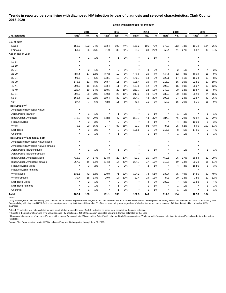# **Trends in reported persons living with diagnosed HIV infection by year of diagnosis and selected characteristics, Clark County, 2016-2020**

**Living with Diagnosed HIV Infection**

|                                              |                   | 2016                    |       |                   | 2017         |     |                   | 2018 |       |                   | 2019           |       |                   | 2020           |      |  |
|----------------------------------------------|-------------------|-------------------------|-------|-------------------|--------------|-----|-------------------|------|-------|-------------------|----------------|-------|-------------------|----------------|------|--|
| <b>Characteristic</b>                        | Rate <sup>a</sup> | No.                     | %     | Rate <sup>a</sup> | No.          | %   | Rate <sup>a</sup> | No.  | %     | Rate <sup>a</sup> | No.            | %     | Rate <sup>a</sup> | No.            | %    |  |
| Sex at birth                                 |                   |                         |       |                   |              |     |                   |      |       |                   |                |       |                   |                |      |  |
| Males                                        | 156.0             | 102                     | 74%   | 153.4             | 100          | 74% | 161.2             | 105  | 73%   | 173.8             | 113            | 73%   | 191.2             | 124            | 76%  |  |
| Females                                      | 51.9              | 36                      | 26%   | 51.9              | 36           | 26% | 54.7              | 38   | 27%   | 59.4              | 41             | 27%   | 58.2              | 40             | 24%  |  |
| Age at end of year                           |                   |                         |       |                   |              |     |                   |      |       |                   |                |       |                   |                |      |  |
| < 13                                         | $\star$           | $\mathbf{1}$            | 1%    |                   | 1            | 1%  | $\star$           |      | 1%    |                   |                |       |                   |                |      |  |
| 13-14                                        |                   |                         |       |                   |              |     | $\star$           |      |       |                   |                |       |                   |                |      |  |
| 15-19                                        |                   |                         |       |                   |              | ٠   |                   |      |       |                   |                |       |                   |                |      |  |
| 20-24                                        | $\star$           | $\overline{c}$          | 1%    |                   | 2            | 1%  | $\star$           | 3    | 2%    |                   | $\overline{c}$ | 1%    |                   | 4              | 2%   |  |
| 25-29                                        | 208.4             | 17                      | 12%   | 147.3             | 12           | 9%  | 123.0             | 10   | 7%    | 148.1             | 12             | 8%    | 186.3             | 15             | 9%   |  |
| 30-34                                        | 91.8              | 7                       | 5%    | 133.1             | 10           | 7%  | 170.7             | 13   | 9%    | 220.1             | 17             | 11%   | 166.4             | 13             | 8%   |  |
| 35-39                                        | 148.6             | 11                      | 8%    | 148.7             | 11           | 8%  | 135.4             | 10   | 7%    | 216.0             | 16             | 10%   | 228.1             | 17             | 10%  |  |
| 40-44                                        | 204.5             | 15                      | 11%   | 153.4             | 11           | 8%  | 167.5             | 12   | 8%    | 206.0             | 15             | 10%   | 260.7             | 19             | 12%  |  |
| 45-49                                        | 220.7             | 19                      | 14%   | 260.5             | 22           | 16% | 263.7             | 22   | 15%   | 249.8             | 20             | 13%   | 193.7             | 15             | 9%   |  |
| 50-54                                        | 302.0             | 28                      | 20%   | 289.3             | 26           | 19% | 217.3             | 19   | 13%   | 232.0             | 20             | 13%   | 282.8             | 24             | 15%  |  |
| 55-64                                        | 163.4             | 31                      | 22%   | 159.4             | 30           | 22% | 224.7             | 42   | 29%   | 199.6             | 37             | 24%   | 228.7             | 42             | 26%  |  |
| $65+$                                        | 27.7              | 7                       | 5%    | 43.0              | 11           | 8%  | 42.1              | 11   | 8%    | 56.7              | 15             | 10%   | 55.6              | 15             | 9%   |  |
| Race/Ethnicity <sup>b</sup>                  |                   |                         |       |                   |              |     |                   |      |       |                   |                |       |                   |                |      |  |
| American Indian/Alaska Native                | $\ast$            |                         |       |                   |              |     |                   |      |       |                   |                |       |                   |                |      |  |
| Asian/Pacific Islander                       | $\star$           | 1                       | 1%    | ×                 | 1            | 1%  | $\star$           |      | 1%    | $\ast$            | 1              | 1%    |                   | -1             | 1%   |  |
| Black/African-American                       | 340.5             | 40                      | 29%   | 338.8             | 40           | 29% | 357.7             | 42   | 29%   | 384.9             | 45             | 29%   | 428.2             | 50             | 30%  |  |
| Hispanic/Latinx                              | $\star$           | 3                       | 2%    |                   | 3            | 2%  | $\star$           | 2    | 1%    |                   | 4              | 3%    | 100.8             | 5              | 3%   |  |
| White                                        | 79.2              | 90                      | 65%   | 77.7              | 88           | 65% | 81.3              | 92   | 64%   | 84.5              | 95             | 62%   | 89.5              | 100            | 61%  |  |
| Multi-Race                                   | $\star$           | 3                       | 2%    | $\star$           | 3            | 2%  | 136.5             | 5    | 3%    | 216.5             | 8              | 5%    | 179.5             | 7              | 4%   |  |
| Unknown                                      | $^\star$          | $\mathbf 1$             | $1\%$ | $\star$           | 1            | 1%  | $\ast$            | 1    | $1\%$ | $\ast$            | $\mathbf{1}$   | 1%    |                   | 1              | 1%   |  |
| Race/Ethnicity <sup>b</sup> and Sex at birth |                   |                         |       |                   |              |     |                   |      |       |                   |                |       |                   |                |      |  |
| American Indian/Alaska Native Males          |                   |                         |       |                   |              |     |                   |      |       |                   |                |       |                   |                |      |  |
| American Indian/Alaska Native Females        |                   |                         |       |                   |              |     |                   |      |       |                   |                |       |                   |                |      |  |
| Asian/Pacific Islander Males                 |                   | $\mathbf{1}$            | 1%    |                   | 1            | 1%  | $\star$           |      | 1%    |                   | 1              | 1%    |                   | -1             | 1%   |  |
| Asian/Pacific Islander Females               |                   |                         |       |                   |              |     |                   |      |       |                   |                |       |                   |                |      |  |
| Black/African-American Males                 | 416.9             | 24                      | 17%   | 394.8             | 23           | 17% | 433.3             | 25   | 17%   | 452.6             | 26             | 17%   | 553.4             | 32             | 20%  |  |
| Black/African-American Females               | 267.0             | 16                      | 12%   | 284.3             | 17           | 13% | 284.7             | 17   | 12%   | 319.6             | 19             | 12%   | 305.3             | 18             | 11%  |  |
| Hispanic/Latino Males                        | $\star$           | 3                       | 2%    | $\star$           | 3            | 2%  | $\star$           | 2    | 1%    |                   | 4              | 3%    | 184.0             | 5              | $3%$ |  |
| Hispanic/Latina Females                      | $\star$           |                         |       |                   |              |     | $\star$           |      |       |                   |                |       |                   |                |      |  |
| <b>White Males</b>                           | 131.1             | 72                      | 52%   | 130.0             | 71           | 52% | 134.2             | 73   | 51%   | 138.4             | 75             | 49%   | 148.5             | 80             | 49%  |  |
| <b>White Females</b>                         | 30.7              | 18                      | 13%   | 29.0              | 17           | 13% | 32.4              | 19   | 13%   | 34.3              | 20             | 13%   | 34.6              | 20             | 12%  |  |
| Multi-Race Males                             | $\star$           | $\overline{\mathbf{c}}$ | 1%    | $^\star$          | 2            | 1%  | $\star$           | 4    | 3%    | 382.3             | 7              | 5%    | 312.8             | 6              | 4%   |  |
| Multi-Race Females                           | $^{\star}$        | $\mathbf{1}$            | 1%    | *                 | 1            | 1%  | $\star$           | 1    | 1%    | $\star$           | 1              | $1\%$ | $\star$           | -1             | 1%   |  |
| Unknown                                      | $\star$           | $\mathbf{1}$            | 1%    |                   | $\mathbf{1}$ | 1%  | $\star$           |      | 1%    | $\ast$            | $\mathbf{1}$   | 1%    | $\ast$            | $\overline{1}$ | 1%   |  |
| <b>Total</b>                                 | 102.4             | 138                     |       | 101.1             | 136          |     | 106.3             | 143  |       | 114.9             | 154            |       | 122.8             | 164            |      |  |
| Notes:                                       |                   |                         |       |                   |              |     |                   |      |       |                   |                |       |                   |                |      |  |

Living with diagnosed HIV infection by year (2016-2020) represents all persons ever diagnosed and reported with HIV and/or AIDS who have not been reported as having died as of December 31 of the corresponding year. Persons living with diagnosed HIV infection represent persons living in Ohio as of December 31 of the corresponding year, regardless of whether the person was a resident of Ohio at time of initial HIV and/or AIDS diagnosis.

Asterisk (\*) indicates rate not calculated for case count <5 due to unstable rates. Dash (-) indicates no cases were reported for the given category.

<sup>a</sup> The rate is the number of persons living with diagnosed HIV infection per 100,000 population calculated using U.S. Census estimates for that year.

ᵇ Hispanics/Latinx may be of any race. Persons with a race of American Indian/Alaska Native, Asian/Pacific Islander, Black/African-American, White, or Multi-Race are not-Hispanic. Asian/Pacific Islander includes Native Hawaiians.